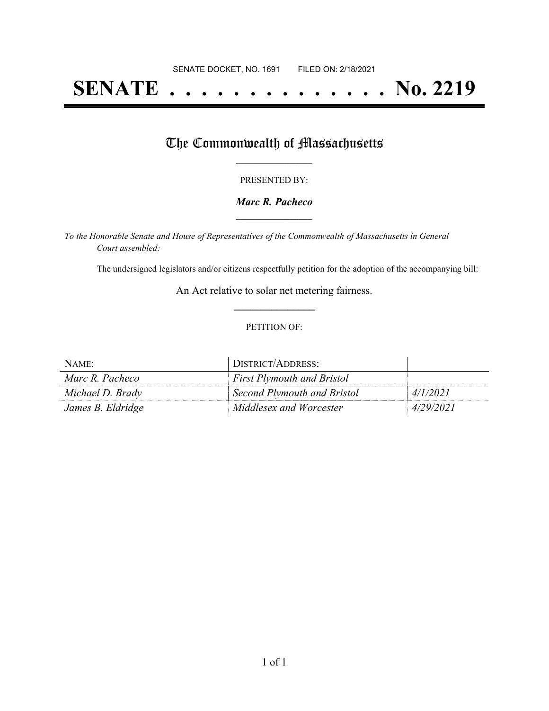# **SENATE . . . . . . . . . . . . . . No. 2219**

## The Commonwealth of Massachusetts

#### PRESENTED BY:

#### *Marc R. Pacheco* **\_\_\_\_\_\_\_\_\_\_\_\_\_\_\_\_\_**

*To the Honorable Senate and House of Representatives of the Commonwealth of Massachusetts in General Court assembled:*

The undersigned legislators and/or citizens respectfully petition for the adoption of the accompanying bill:

An Act relative to solar net metering fairness. **\_\_\_\_\_\_\_\_\_\_\_\_\_\_\_**

#### PETITION OF:

| NAME:             | <b>DISTRICT/ADDRESS:</b>          |           |
|-------------------|-----------------------------------|-----------|
| Marc R. Pacheco   | <b>First Plymouth and Bristol</b> |           |
| Michael D. Brady  | Second Plymouth and Bristol       | 4/1/2021  |
| James B. Eldridge | Middlesex and Worcester           | 4/29/2021 |